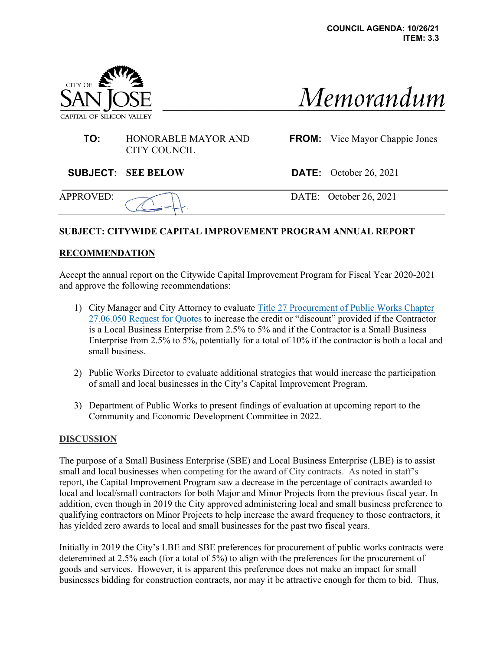

# Memorandum

### **TO:** HONORABLE MAYOR AND CITY COUNCIL

**FROM:** Vice Mayor Chappie Jones

**SUBJECT: SEE BELOW DATE:** October 26, 2021

APPROVED: DATE: October 26, 2021

## **SUBJECT: CITYWIDE CAPITAL IMPROVEMENT PROGRAM ANNUAL REPORT**

## **RECOMMENDATION**

Accept the annual report on the Citywide Capital Improvement Program for Fiscal Year 2020-2021 and approve the following recommendations:

- 1) City Manager and City Attorney to evaluate Title 27 Procurement of Public Works Chapter 27.06.050 Request for Quotes to increase the credit or "discount" provided if the Contractor is a Local Business Enterprise from 2.5% to 5% and if the Contractor is a Small Business Enterprise from 2.5% to 5%, potentially for a total of 10% if the contractor is both a local and small business.
- 2) Public Works Director to evaluate additional strategies that would increase the participation of small and local businesses in the City's Capital Improvement Program.
- 3) Department of Public Works to present findings of evaluation at upcoming report to the Community and Economic Development Committee in 2022.

### **DISCUSSION**

The purpose of a Small Business Enterprise (SBE) and Local Business Enterprise (LBE) is to assist small and local businesses when competing for the award of City contracts. As noted in staff's report, the Capital Improvement Program saw a decrease in the percentage of contracts awarded to local and local/small contractors for both Major and Minor Projects from the previous fiscal year. In addition, even though in 2019 the City approved administering local and small business preference to qualifying contractors on Minor Projects to help increase the award frequency to those contractors, it has yielded zero awards to local and small businesses for the past two fiscal years.

Initially in 2019 the City's LBE and SBE preferences for procurement of public works contracts were deteremined at 2.5% each (for a total of 5%) to align with the preferences for the procurement of goods and services. However, it is apparent this preference does not make an impact for small businesses bidding for construction contracts, nor may it be attractive enough for them to bid. Thus,